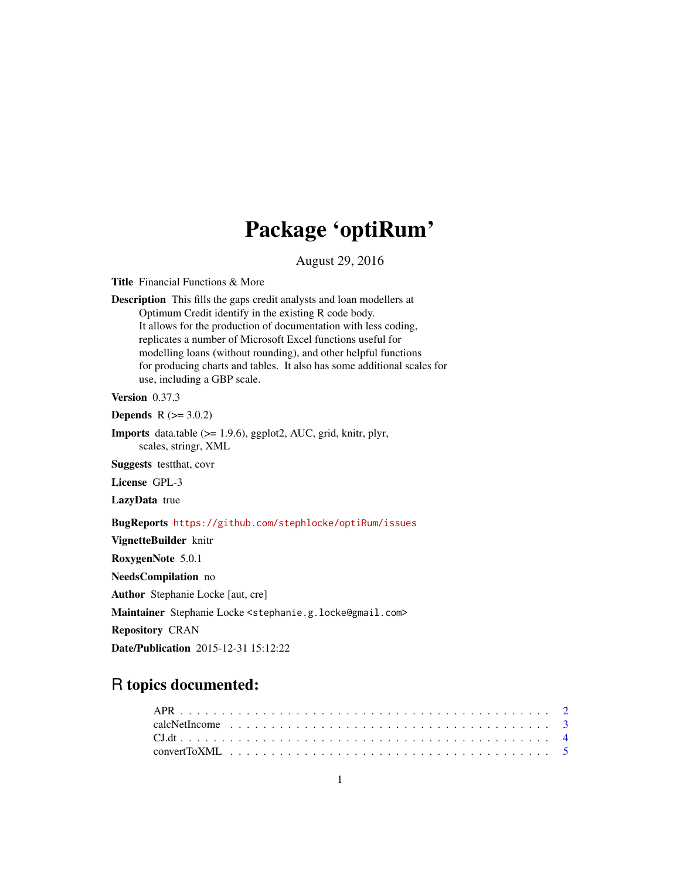# Package 'optiRum'

August 29, 2016

<span id="page-0-0"></span>Title Financial Functions & More

Description This fills the gaps credit analysts and loan modellers at Optimum Credit identify in the existing R code body. It allows for the production of documentation with less coding, replicates a number of Microsoft Excel functions useful for modelling loans (without rounding), and other helpful functions for producing charts and tables. It also has some additional scales for use, including a GBP scale.

Version 0.37.3

**Depends**  $R (= 3.0.2)$ 

Imports data.table (>= 1.9.6), ggplot2, AUC, grid, knitr, plyr, scales, stringr, XML

Suggests testthat, covr

License GPL-3

LazyData true

BugReports <https://github.com/stephlocke/optiRum/issues>

VignetteBuilder knitr

RoxygenNote 5.0.1

NeedsCompilation no

Author Stephanie Locke [aut, cre]

Maintainer Stephanie Locke <stephanie.g.locke@gmail.com>

Repository CRAN

Date/Publication 2015-12-31 15:12:22

## R topics documented: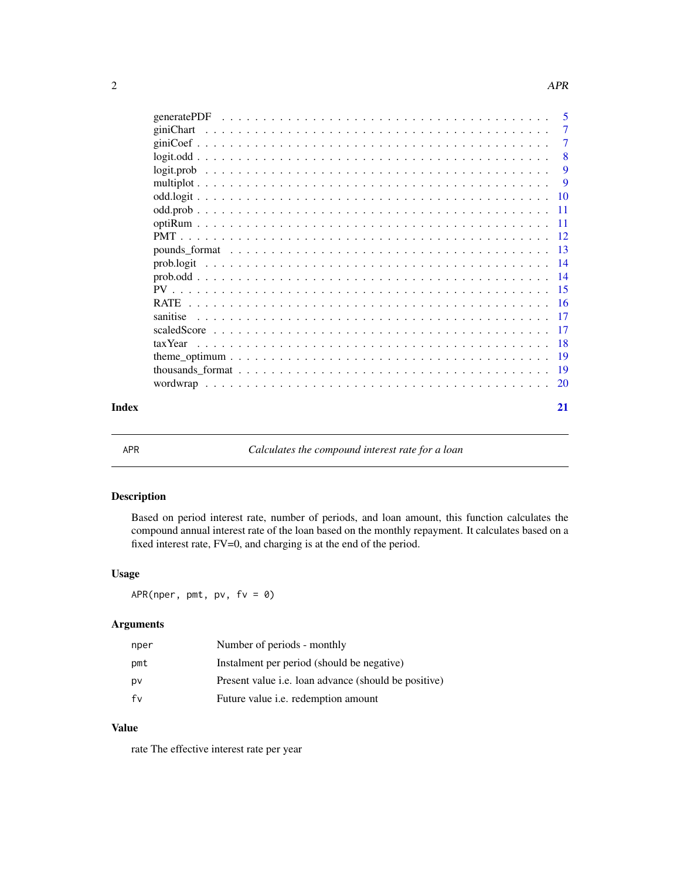<span id="page-1-0"></span>

|                                                                                                                           | $\overline{\phantom{0}}$ 5 |
|---------------------------------------------------------------------------------------------------------------------------|----------------------------|
|                                                                                                                           | -7                         |
|                                                                                                                           | 7                          |
|                                                                                                                           | 8                          |
| $logit, prob \dots \dots \dots \dots \dots \dots \dots \dots \dots \dots \dots \dots \dots \dots \dots \dots \dots \dots$ | 9                          |
|                                                                                                                           | 9                          |
|                                                                                                                           |                            |
|                                                                                                                           |                            |
|                                                                                                                           |                            |
|                                                                                                                           |                            |
|                                                                                                                           |                            |
|                                                                                                                           |                            |
|                                                                                                                           |                            |
|                                                                                                                           |                            |
|                                                                                                                           |                            |
|                                                                                                                           |                            |
|                                                                                                                           |                            |
|                                                                                                                           |                            |
|                                                                                                                           |                            |
|                                                                                                                           |                            |
|                                                                                                                           |                            |
| Index                                                                                                                     | 21                         |

<span id="page-1-1"></span>

APR *Calculates the compound interest rate for a loan*

#### Description

Based on period interest rate, number of periods, and loan amount, this function calculates the compound annual interest rate of the loan based on the monthly repayment. It calculates based on a fixed interest rate, FV=0, and charging is at the end of the period.

#### Usage

APR(nper, pmt, pv,  $fv = 0$ )

#### Arguments

| nper | Number of periods - monthly                                 |
|------|-------------------------------------------------------------|
| pmt  | Instalment per period (should be negative)                  |
| pv   | Present value <i>i.e.</i> loan advance (should be positive) |
| fv   | Future value <i>i.e.</i> redemption amount                  |

#### Value

rate The effective interest rate per year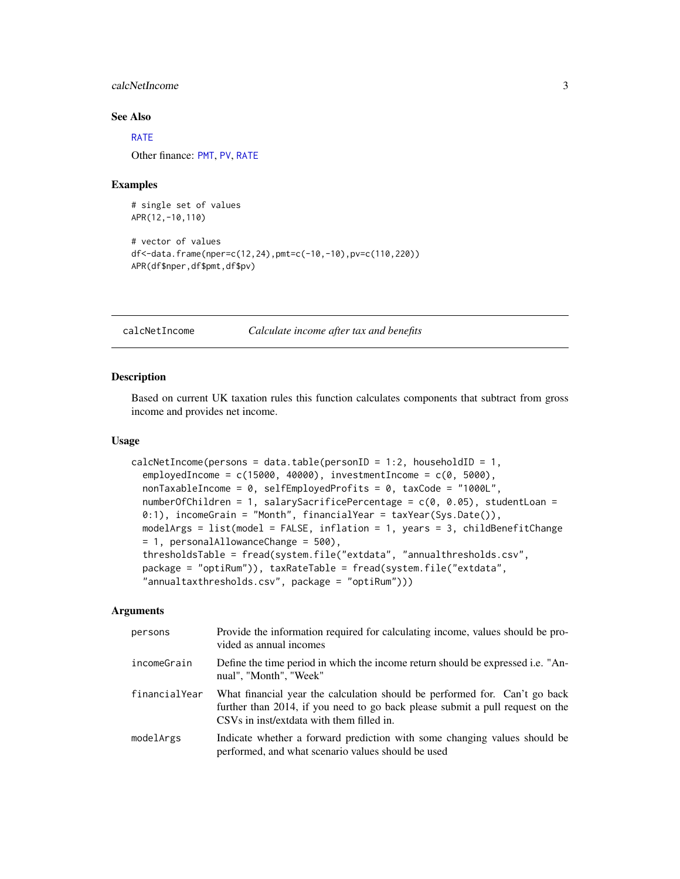#### <span id="page-2-0"></span>calcNetIncome 3

#### See Also

#### [RATE](#page-15-1)

Other finance: [PMT](#page-11-1), [PV](#page-14-1), [RATE](#page-15-1)

#### Examples

```
# single set of values
APR(12,-10,110)
# vector of values
df<-data.frame(nper=c(12,24),pmt=c(-10,-10),pv=c(110,220))
APR(df$nper,df$pmt,df$pv)
```
<span id="page-2-1"></span>calcNetIncome *Calculate income after tax and benefits*

#### Description

Based on current UK taxation rules this function calculates components that subtract from gross income and provides net income.

#### Usage

```
calcNetIncome(persons = data.table(personID = 1:2, householdID = 1,
  employedIncome = c(15000, 40000), investmentIncome = c(0, 5000),
  nonTaxableIncome = 0, selfEmployedProfits = 0, taxCode = "1000L",
  numberOfChildren = 1, salarySacrificePercentage = c(0, 0.05), studentLoan =
  0:1), incomeGrain = "Month", financialYear = taxYear(Sys.Date()),
 modelArgs = list(model = FALSE, inflation = 1, years = 3, childBenefitChange
 = 1, personalAllowanceChange = 500),
  thresholdsTable = fread(system.file("extdata", "annualthresholds.csv",
  package = "optiRum")), taxRateTable = fread(system.file("extdata",
  "annualtaxthresholds.csv", package = "optiRum")))
```
#### **Arguments**

| persons       | Provide the information required for calculating income, values should be pro-<br>vided as annual incomes                                                                                                |
|---------------|----------------------------------------------------------------------------------------------------------------------------------------------------------------------------------------------------------|
| incomeGrain   | Define the time period in which the income return should be expressed i.e. "An-<br>nual", "Month", "Week"                                                                                                |
| financialYear | What financial year the calculation should be performed for. Can't go back<br>further than 2014, if you need to go back please submit a pull request on the<br>CSVs in inst/extdata with them filled in. |
| modelArgs     | Indicate whether a forward prediction with some changing values should be<br>performed, and what scenario values should be used                                                                          |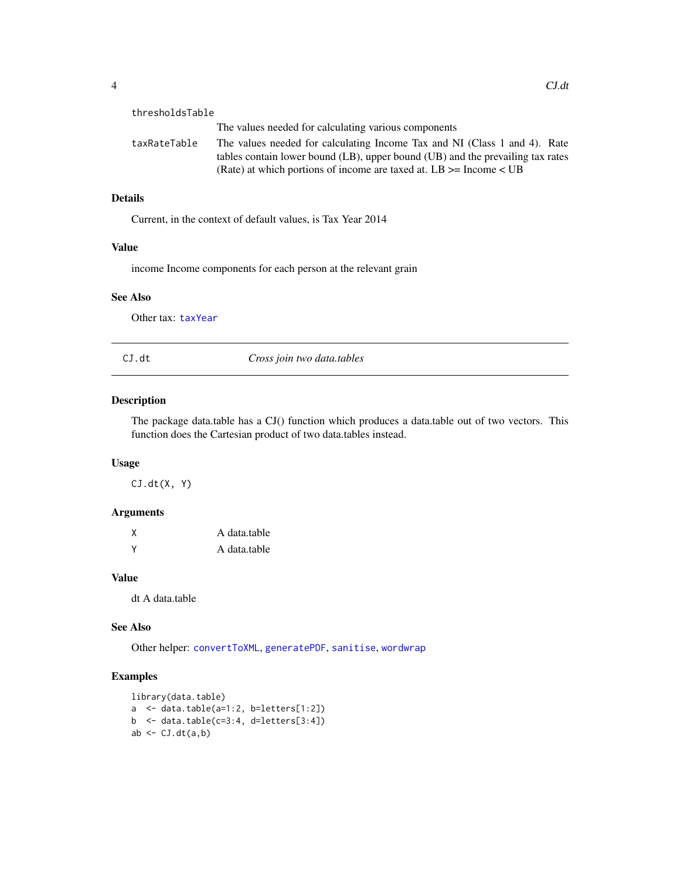<span id="page-3-0"></span>

| 4 |          |
|---|----------|
|   | $CJ$ .dt |
|   |          |

| thresholdsTable |                                                                                                                                                                                                                                       |
|-----------------|---------------------------------------------------------------------------------------------------------------------------------------------------------------------------------------------------------------------------------------|
|                 | The values needed for calculating various components                                                                                                                                                                                  |
| taxRateTable    | The values needed for calculating Income Tax and NI (Class 1 and 4). Rate<br>tables contain lower bound (LB), upper bound (UB) and the prevailing tax rates<br>(Rate) at which portions of income are taxed at. $LB \geq$ Income < UB |

#### Details

Current, in the context of default values, is Tax Year 2014

#### Value

income Income components for each person at the relevant grain

#### See Also

Other tax: [taxYear](#page-17-1)

<span id="page-3-1"></span>

| CJ.dt | Cross join two data.tables |  |
|-------|----------------------------|--|
|-------|----------------------------|--|

#### Description

The package data.table has a CJ() function which produces a data.table out of two vectors. This function does the Cartesian product of two data.tables instead.

#### Usage

 $CJ.dt(X, Y)$ 

#### Arguments

| Χ | A data.table |
|---|--------------|
| v | A data.table |

#### Value

dt A data.table

#### See Also

Other helper: [convertToXML](#page-4-1), [generatePDF](#page-4-2), [sanitise](#page-16-1), [wordwrap](#page-19-1)

#### Examples

```
library(data.table)
a <- data.table(a=1:2, b=letters[1:2])
b \le data.table(c=3:4, d=letters[3:4])
ab \leftarrow CJ.dt(a,b)
```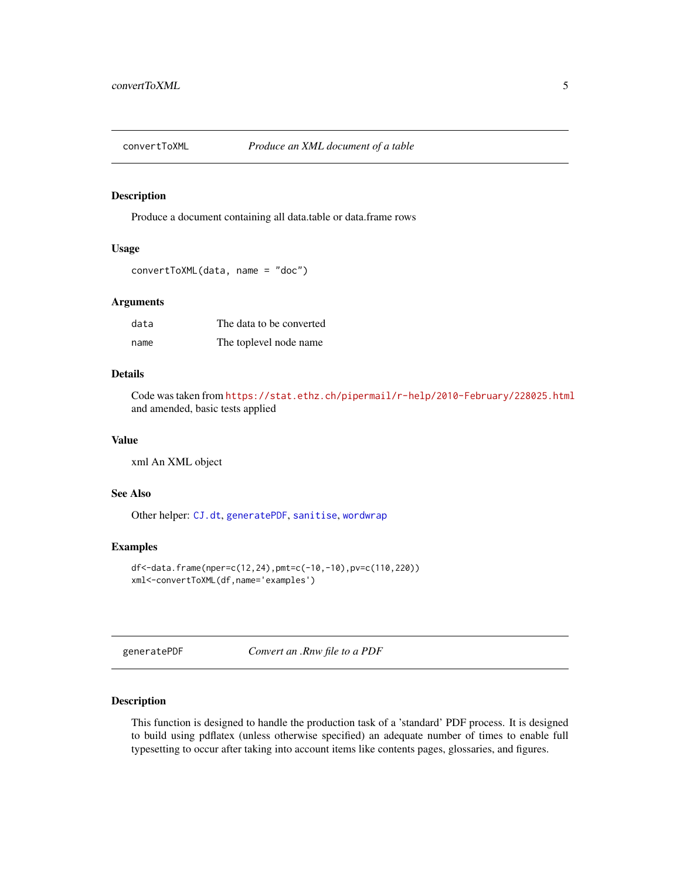<span id="page-4-1"></span><span id="page-4-0"></span>

Produce a document containing all data.table or data.frame rows

#### Usage

```
convertToXML(data, name = "doc")
```
#### **Arguments**

| data | The data to be converted |
|------|--------------------------|
| name | The toplevel node name   |

#### Details

Code was taken from <https://stat.ethz.ch/pipermail/r-help/2010-February/228025.html> and amended, basic tests applied

#### Value

xml An XML object

#### See Also

Other helper: [CJ.dt](#page-3-1), [generatePDF](#page-4-2), [sanitise](#page-16-1), [wordwrap](#page-19-1)

#### Examples

```
df<-data.frame(nper=c(12,24),pmt=c(-10,-10),pv=c(110,220))
xml<-convertToXML(df,name='examples')
```
<span id="page-4-2"></span>generatePDF *Convert an .Rnw file to a PDF*

#### Description

This function is designed to handle the production task of a 'standard' PDF process. It is designed to build using pdflatex (unless otherwise specified) an adequate number of times to enable full typesetting to occur after taking into account items like contents pages, glossaries, and figures.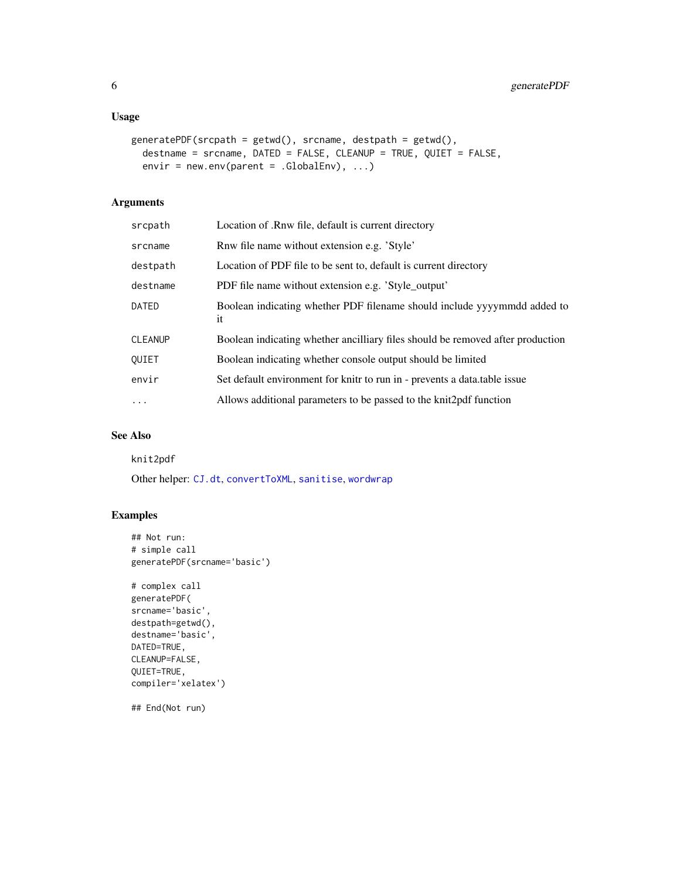#### <span id="page-5-0"></span>Usage

```
generatePDF(srcpath = getwd(), srcname, destpath = getwd(),
 destname = srcname, DATED = FALSE, CLEANUP = TRUE, QUIET = FALSE,
 envir = newenv(parent = .GlobalEnv), ...
```
#### Arguments

| srcpath  | Location of .Rnw file, default is current directory                            |
|----------|--------------------------------------------------------------------------------|
| srcname  | Rnw file name without extension e.g. 'Style'                                   |
| destpath | Location of PDF file to be sent to, default is current directory               |
| destname | PDF file name without extension e.g. 'Style_output'                            |
| DATED    | Boolean indicating whether PDF filename should include yyyymmdd added to<br>it |
| CLEANUP  | Boolean indicating whether ancilliary files should be removed after production |
| OUIET    | Boolean indicating whether console output should be limited                    |
| envir    | Set default environment for knitr to run in - prevents a data table issue      |
| $\ldots$ | Allows additional parameters to be passed to the knit 2 pdf function           |

#### See Also

knit2pdf

Other helper: [CJ.dt](#page-3-1), [convertToXML](#page-4-1), [sanitise](#page-16-1), [wordwrap](#page-19-1)

#### Examples

```
## Not run:
# simple call
generatePDF(srcname='basic')
```

```
# complex call
generatePDF(
srcname='basic',
destpath=getwd(),
destname='basic',
DATED=TRUE,
CLEANUP=FALSE,
QUIET=TRUE,
compiler='xelatex')
```
## End(Not run)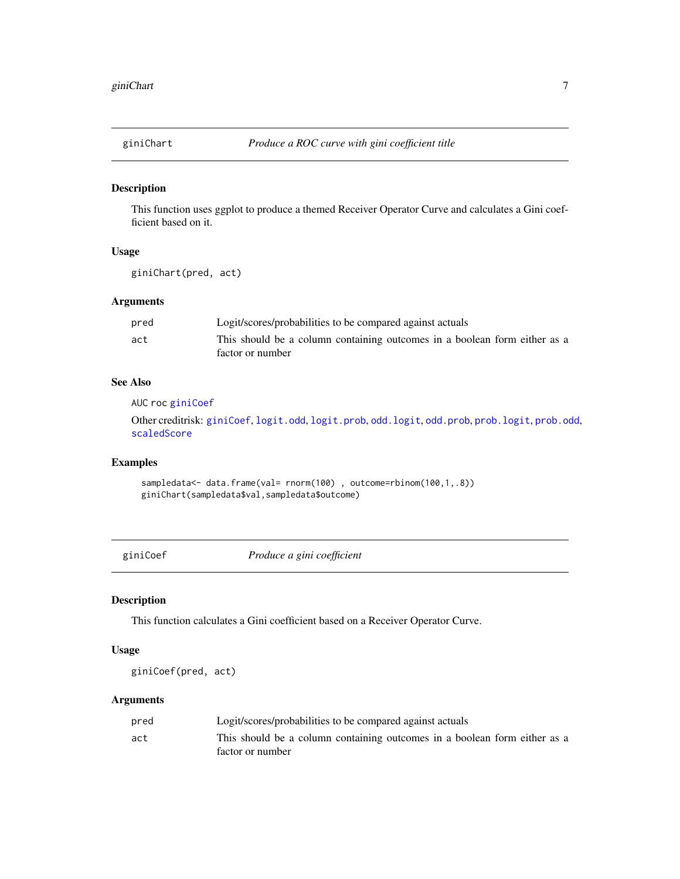<span id="page-6-2"></span><span id="page-6-0"></span>

This function uses ggplot to produce a themed Receiver Operator Curve and calculates a Gini coefficient based on it.

#### Usage

giniChart(pred, act)

#### Arguments

| pred | Logit/scores/probabilities to be compared against actuals                 |
|------|---------------------------------------------------------------------------|
| act  | This should be a column containing outcomes in a boolean form either as a |
|      | factor or number                                                          |

#### See Also

AUC roc [giniCoef](#page-6-1)

Other creditrisk: [giniCoef](#page-6-1), [logit.odd](#page-7-1), [logit.prob](#page-8-1), [odd.logit](#page-9-1), [odd.prob](#page-10-1), [prob.logit](#page-13-1), [prob.odd](#page-13-2), [scaledScore](#page-16-2)

#### Examples

sampledata<- data.frame(val= rnorm(100), outcome=rbinom(100,1,.8)) giniChart(sampledata\$val,sampledata\$outcome)

<span id="page-6-1"></span>giniCoef *Produce a gini coefficient*

#### Description

This function calculates a Gini coefficient based on a Receiver Operator Curve.

#### Usage

giniCoef(pred, act)

#### Arguments

| pred | Logit/scores/probabilities to be compared against actuals                 |
|------|---------------------------------------------------------------------------|
| act  | This should be a column containing outcomes in a boolean form either as a |
|      | factor or number                                                          |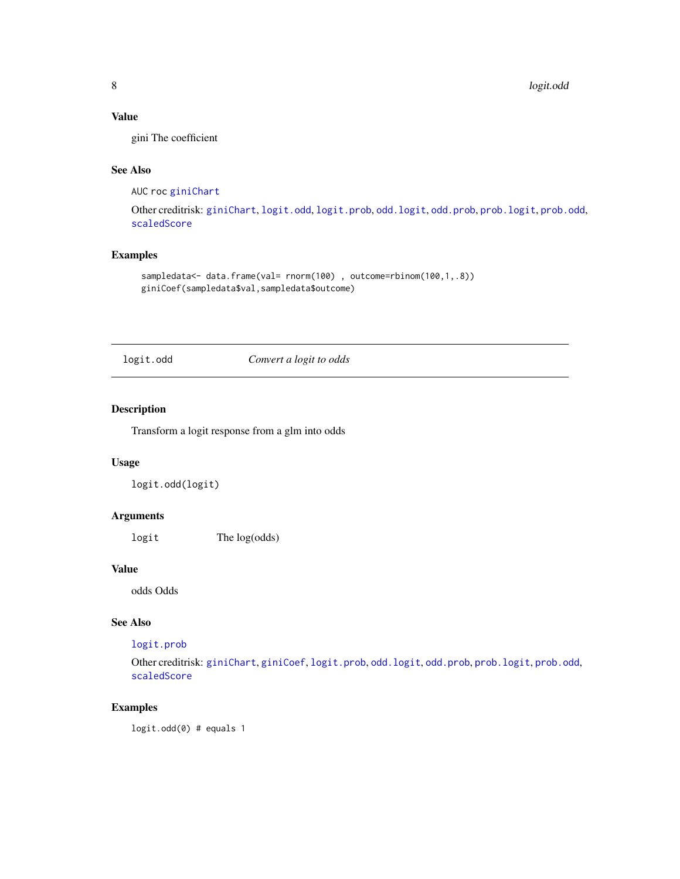#### <span id="page-7-0"></span>Value

gini The coefficient

#### See Also

AUC roc [giniChart](#page-6-2)

Other creditrisk: [giniChart](#page-6-2), [logit.odd](#page-7-1), [logit.prob](#page-8-1), [odd.logit](#page-9-1), [odd.prob](#page-10-1), [prob.logit](#page-13-1), [prob.odd](#page-13-2), [scaledScore](#page-16-2)

#### Examples

```
sampledata<- data.frame(val= rnorm(100), outcome=rbinom(100,1,.8))
giniCoef(sampledata$val,sampledata$outcome)
```
<span id="page-7-1"></span>logit.odd *Convert a logit to odds*

#### Description

Transform a logit response from a glm into odds

#### Usage

logit.odd(logit)

#### Arguments

logit The log(odds)

#### Value

odds Odds

#### See Also

#### [logit.prob](#page-8-1)

Other creditrisk: [giniChart](#page-6-2), [giniCoef](#page-6-1), [logit.prob](#page-8-1), [odd.logit](#page-9-1), [odd.prob](#page-10-1), [prob.logit](#page-13-1), [prob.odd](#page-13-2), [scaledScore](#page-16-2)

### Examples

logit.odd(0) # equals 1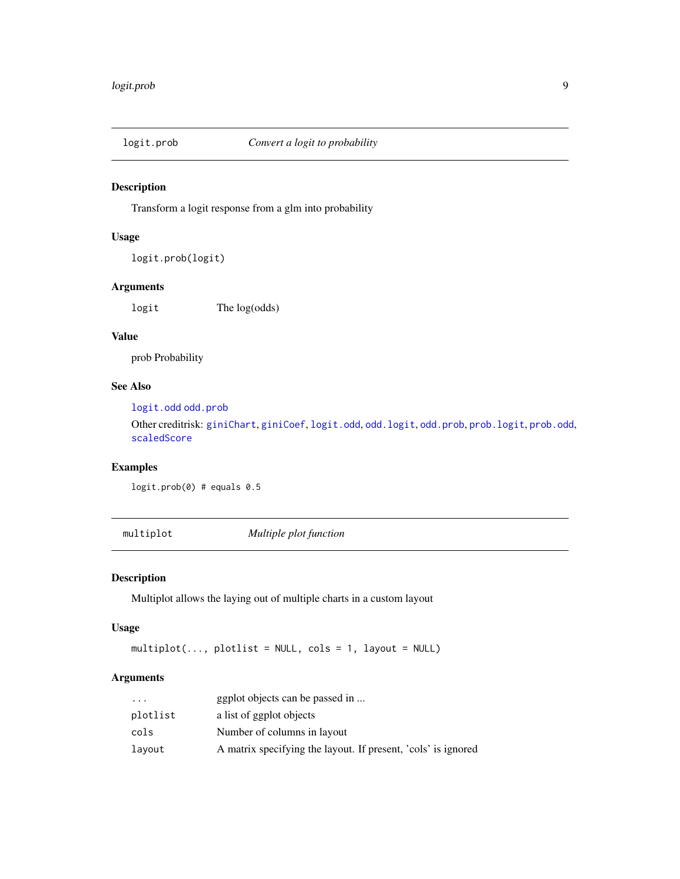<span id="page-8-1"></span><span id="page-8-0"></span>

Transform a logit response from a glm into probability

#### Usage

logit.prob(logit)

#### Arguments

logit The log(odds)

#### Value

prob Probability

#### See Also

[logit.odd](#page-7-1) [odd.prob](#page-10-1)

Other creditrisk: [giniChart](#page-6-2), [giniCoef](#page-6-1), [logit.odd](#page-7-1), [odd.logit](#page-9-1), [odd.prob](#page-10-1), [prob.logit](#page-13-1), [prob.odd](#page-13-2), [scaledScore](#page-16-2)

#### Examples

logit.prob(0) # equals 0.5

multiplot *Multiple plot function*

#### Description

Multiplot allows the laying out of multiple charts in a custom layout

#### Usage

multiplot(..., plotlist = NULL, cols = 1, layout = NULL)

#### Arguments

| $\cdots$ | ggplot objects can be passed in                               |
|----------|---------------------------------------------------------------|
| plotlist | a list of ggplot objects                                      |
| cols     | Number of columns in layout                                   |
| lavout   | A matrix specifying the layout. If present, 'cols' is ignored |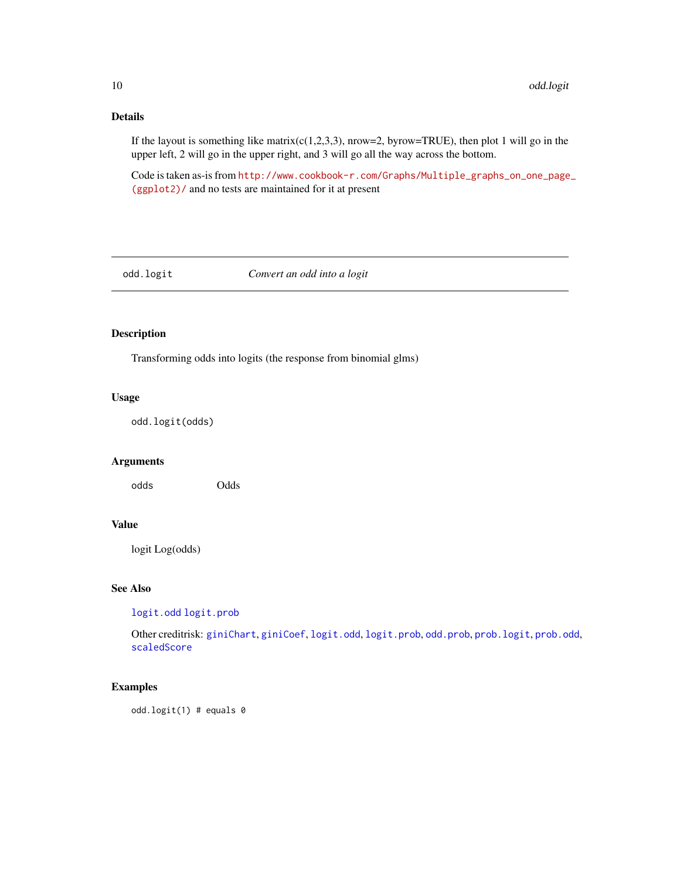#### Details

If the layout is something like matrix( $c(1,2,3,3)$ , nrow=2, byrow=TRUE), then plot 1 will go in the upper left, 2 will go in the upper right, and 3 will go all the way across the bottom.

Code is taken as-is from [http://www.cookbook-r.com/Graphs/Multiple\\_graphs\\_on\\_one\\_page](http://www.cookbook-r.com/Graphs/Multiple_graphs_on_one_page_(ggplot2)/)\_ [\(ggplot2\)/](http://www.cookbook-r.com/Graphs/Multiple_graphs_on_one_page_(ggplot2)/) and no tests are maintained for it at present

<span id="page-9-1"></span>odd.logit *Convert an odd into a logit*

#### Description

Transforming odds into logits (the response from binomial glms)

#### Usage

odd.logit(odds)

#### Arguments

odds Odds

#### Value

logit Log(odds)

#### See Also

[logit.odd](#page-7-1) [logit.prob](#page-8-1)

Other creditrisk: [giniChart](#page-6-2), [giniCoef](#page-6-1), [logit.odd](#page-7-1), [logit.prob](#page-8-1), [odd.prob](#page-10-1), [prob.logit](#page-13-1), [prob.odd](#page-13-2), [scaledScore](#page-16-2)

#### Examples

odd.logit(1) # equals 0

<span id="page-9-0"></span>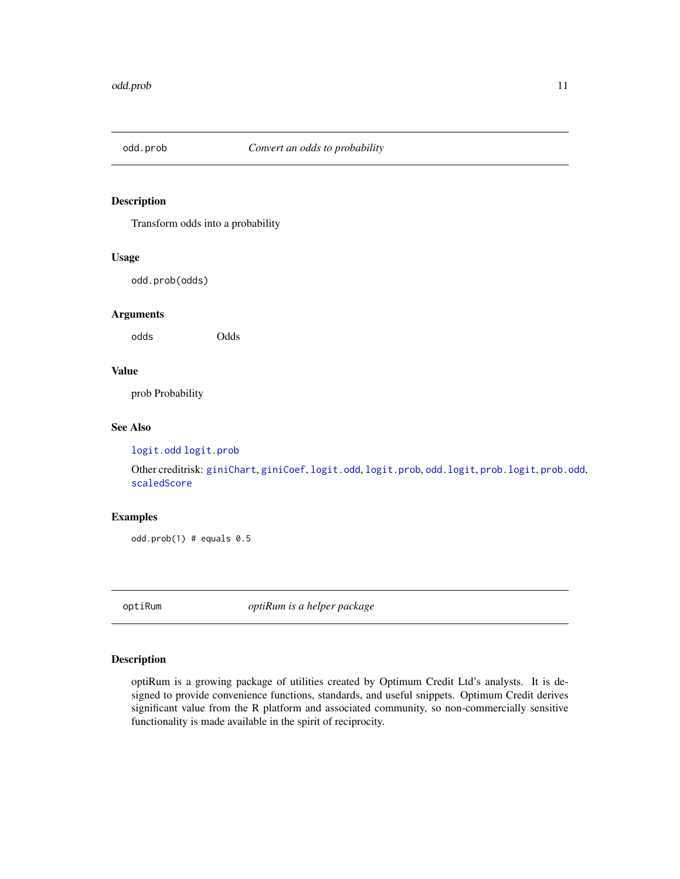<span id="page-10-1"></span><span id="page-10-0"></span>

Transform odds into a probability

#### Usage

odd.prob(odds)

#### Arguments

odds Odds

#### Value

prob Probability

#### See Also

[logit.odd](#page-7-1) [logit.prob](#page-8-1)

Other creditrisk: [giniChart](#page-6-2), [giniCoef](#page-6-1), [logit.odd](#page-7-1), [logit.prob](#page-8-1), [odd.logit](#page-9-1), [prob.logit](#page-13-1), [prob.odd](#page-13-2), [scaledScore](#page-16-2)

#### Examples

odd.prob $(1)$  # equals  $0.5$ 

optiRum *optiRum is a helper package*

#### Description

optiRum is a growing package of utilities created by Optimum Credit Ltd's analysts. It is designed to provide convenience functions, standards, and useful snippets. Optimum Credit derives significant value from the R platform and associated community, so non-commercially sensitive functionality is made available in the spirit of reciprocity.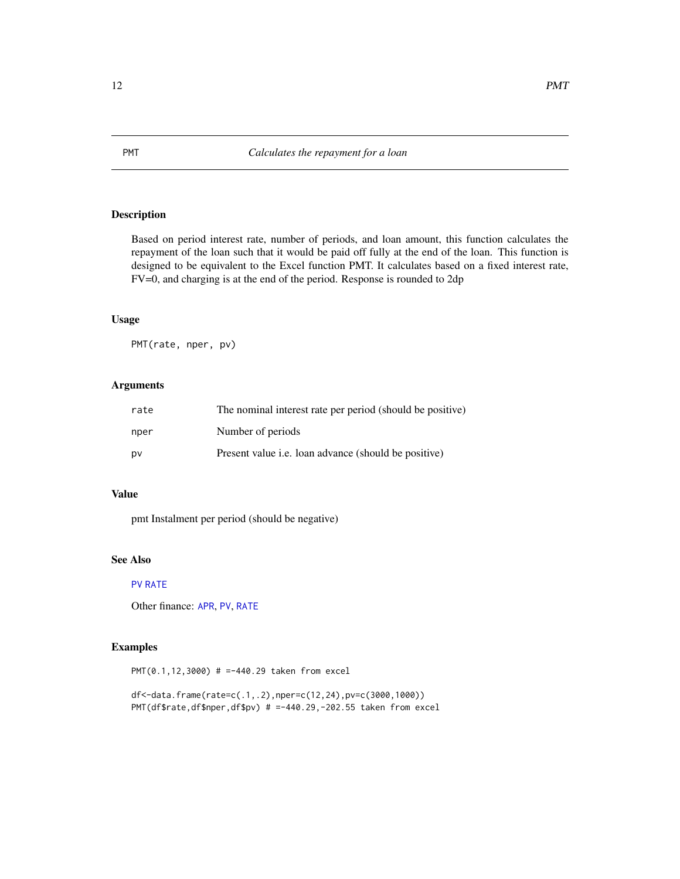Based on period interest rate, number of periods, and loan amount, this function calculates the repayment of the loan such that it would be paid off fully at the end of the loan. This function is designed to be equivalent to the Excel function PMT. It calculates based on a fixed interest rate, FV=0, and charging is at the end of the period. Response is rounded to 2dp

#### Usage

PMT(rate, nper, pv)

#### Arguments

| rate | The nominal interest rate per period (should be positive)   |
|------|-------------------------------------------------------------|
| nper | Number of periods                                           |
| DV   | Present value <i>i.e.</i> loan advance (should be positive) |

#### Value

pmt Instalment per period (should be negative)

#### See Also

#### [PV](#page-14-1) [RATE](#page-15-1)

Other finance: [APR](#page-1-1), [PV](#page-14-1), [RATE](#page-15-1)

#### Examples

PMT(0.1,12,3000) # =-440.29 taken from excel

df<-data.frame(rate=c(.1,.2),nper=c(12,24),pv=c(3000,1000)) PMT(df\$rate,df\$nper,df\$pv) # =-440.29,-202.55 taken from excel

<span id="page-11-1"></span><span id="page-11-0"></span>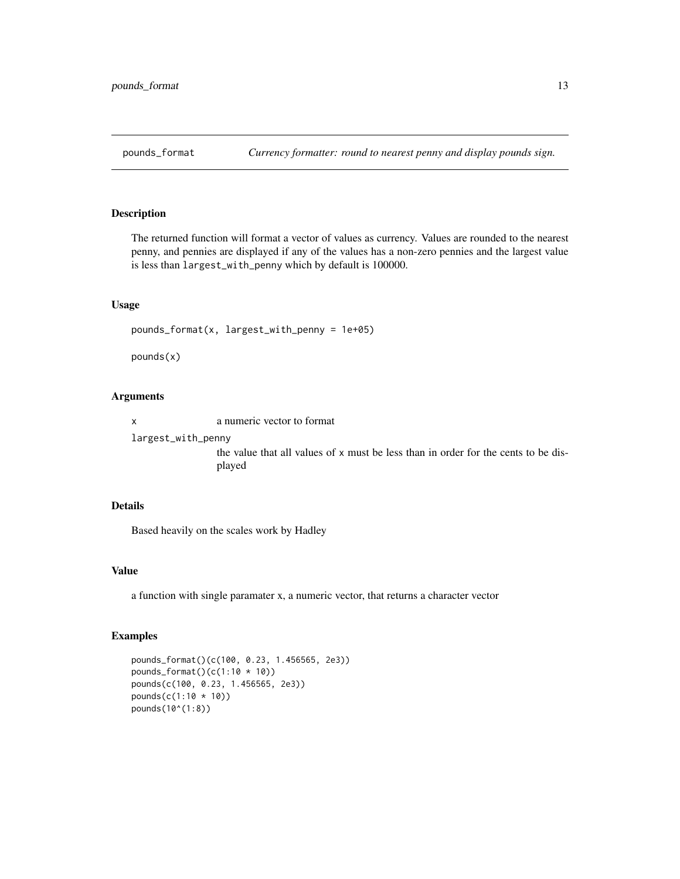<span id="page-12-0"></span>

The returned function will format a vector of values as currency. Values are rounded to the nearest penny, and pennies are displayed if any of the values has a non-zero pennies and the largest value is less than largest\_with\_penny which by default is 100000.

#### Usage

```
pounds_format(x, largest_with_penny = 1e+05)
```
pounds(x)

#### Arguments

x a numeric vector to format

largest\_with\_penny

the value that all values of x must be less than in order for the cents to be displayed

#### Details

Based heavily on the scales work by Hadley

#### Value

a function with single paramater x, a numeric vector, that returns a character vector

#### Examples

```
pounds_format()(c(100, 0.23, 1.456565, 2e3))
pounds_format()(c(1:10 * 10))
pounds(c(100, 0.23, 1.456565, 2e3))
pounds(c(1:10 * 10))
pounds(10^(1:8))
```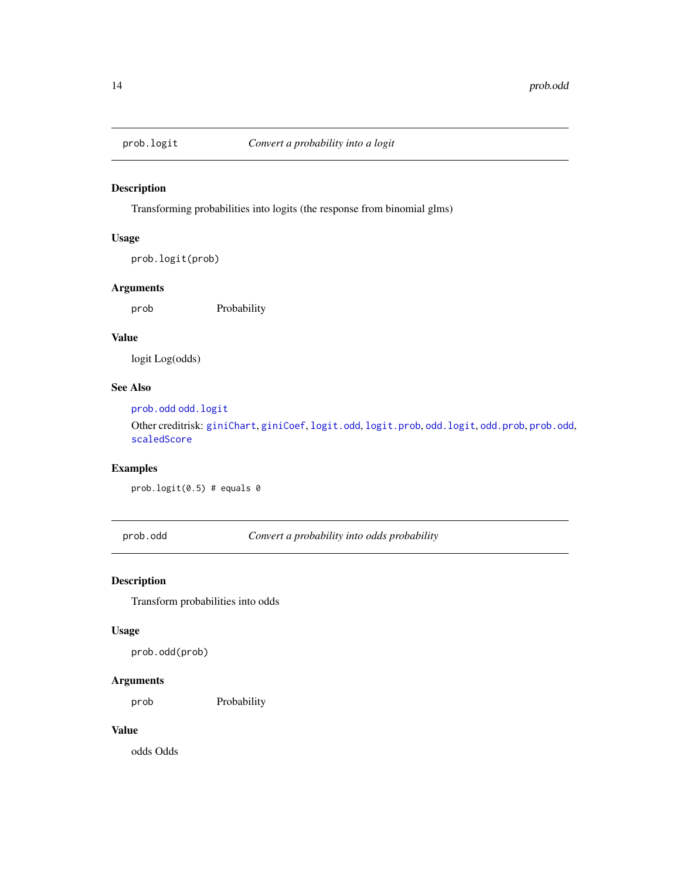<span id="page-13-1"></span><span id="page-13-0"></span>

Transforming probabilities into logits (the response from binomial glms)

#### Usage

prob.logit(prob)

#### Arguments

prob Probability

#### Value

logit Log(odds)

#### See Also

[prob.odd](#page-13-2) [odd.logit](#page-9-1)

Other creditrisk: [giniChart](#page-6-2), [giniCoef](#page-6-1), [logit.odd](#page-7-1), [logit.prob](#page-8-1), [odd.logit](#page-9-1), [odd.prob](#page-10-1), [prob.odd](#page-13-2), [scaledScore](#page-16-2)

#### Examples

prob.logit(0.5) # equals 0

<span id="page-13-2"></span>prob.odd *Convert a probability into odds probability*

#### Description

Transform probabilities into odds

#### Usage

prob.odd(prob)

#### Arguments

prob Probability

#### Value

odds Odds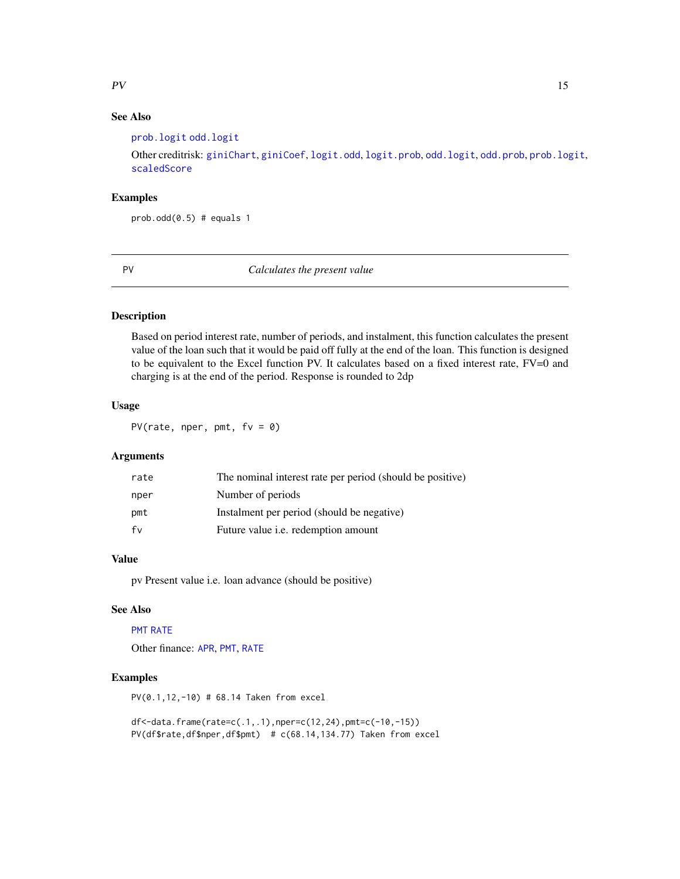#### <span id="page-14-0"></span> $PV$  15

#### See Also

[prob.logit](#page-13-1) [odd.logit](#page-9-1)

Other creditrisk: [giniChart](#page-6-2), [giniCoef](#page-6-1), [logit.odd](#page-7-1), [logit.prob](#page-8-1), [odd.logit](#page-9-1), [odd.prob](#page-10-1), [prob.logit](#page-13-1), [scaledScore](#page-16-2)

#### Examples

 $prob.odd(0.5)$  # equals 1

<span id="page-14-1"></span>PV *Calculates the present value*

#### Description

Based on period interest rate, number of periods, and instalment, this function calculates the present value of the loan such that it would be paid off fully at the end of the loan. This function is designed to be equivalent to the Excel function PV. It calculates based on a fixed interest rate, FV=0 and charging is at the end of the period. Response is rounded to 2dp

#### Usage

PV(rate, nper, pmt,  $f(v = 0)$ 

#### **Arguments**

| rate | The nominal interest rate per period (should be positive) |
|------|-----------------------------------------------------------|
| nper | Number of periods                                         |
| pmt  | Instalment per period (should be negative)                |
| fv   | Future value <i>i.e.</i> redemption amount                |

#### Value

pv Present value i.e. loan advance (should be positive)

#### See Also

#### [PMT](#page-11-1) [RATE](#page-15-1)

Other finance: [APR](#page-1-1), [PMT](#page-11-1), [RATE](#page-15-1)

#### Examples

PV(0.1,12,-10) # 68.14 Taken from excel

```
df<-data.frame(rate=c(.1,.1),nper=c(12,24),pmt=c(-10,-15))
PV(df$rate,df$nper,df$pmt) # c(68.14,134.77) Taken from excel
```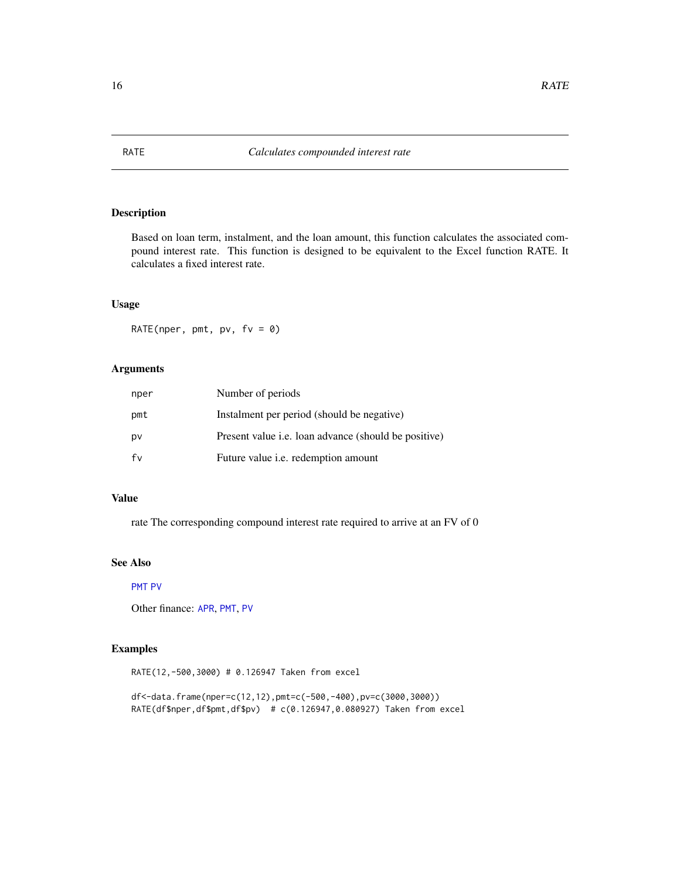Based on loan term, instalment, and the loan amount, this function calculates the associated compound interest rate. This function is designed to be equivalent to the Excel function RATE. It calculates a fixed interest rate.

#### Usage

RATE(nper, pmt, pv,  $f v = 0$ )

#### Arguments

| nper | Number of periods                                           |
|------|-------------------------------------------------------------|
| pmt  | Instalment per period (should be negative)                  |
| pv   | Present value <i>i.e.</i> loan advance (should be positive) |
| fv   | Future value <i>i.e.</i> redemption amount                  |

#### Value

rate The corresponding compound interest rate required to arrive at an FV of 0

#### See Also

#### [PMT](#page-11-1) [PV](#page-14-1)

Other finance: [APR](#page-1-1), [PMT](#page-11-1), [PV](#page-14-1)

#### Examples

RATE(12,-500,3000) # 0.126947 Taken from excel

df<-data.frame(nper=c(12,12),pmt=c(-500,-400),pv=c(3000,3000)) RATE(df\$nper,df\$pmt,df\$pv) # c(0.126947,0.080927) Taken from excel

### <span id="page-15-1"></span><span id="page-15-0"></span>RATE *Calculates compounded interest rate*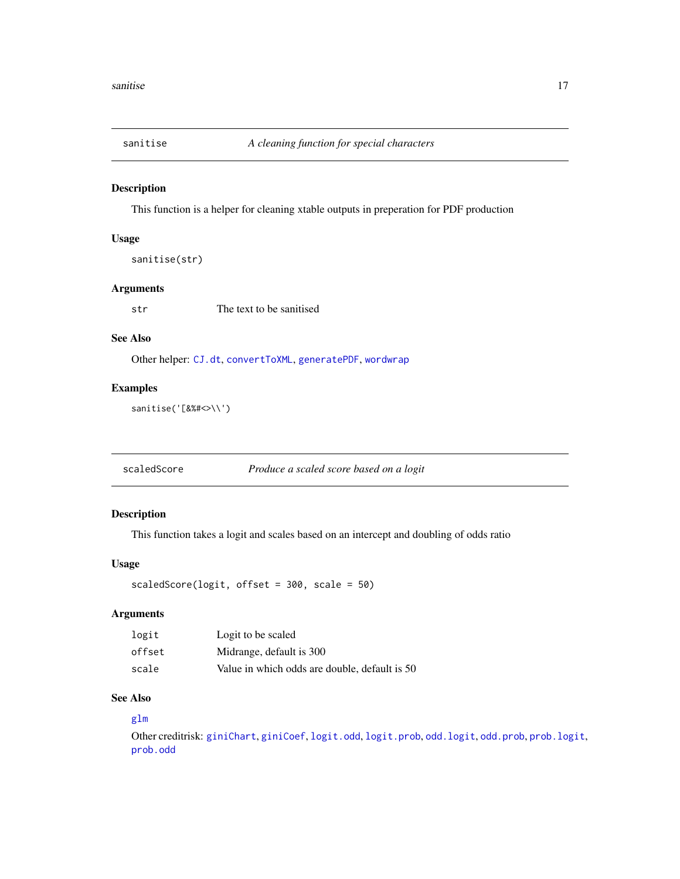<span id="page-16-1"></span><span id="page-16-0"></span>

This function is a helper for cleaning xtable outputs in preperation for PDF production

#### Usage

```
sanitise(str)
```
#### Arguments

str The text to be sanitised

#### See Also

Other helper: [CJ.dt](#page-3-1), [convertToXML](#page-4-1), [generatePDF](#page-4-2), [wordwrap](#page-19-1)

#### Examples

sanitise('[&%#<>\\')

<span id="page-16-2"></span>scaledScore *Produce a scaled score based on a logit*

#### Description

This function takes a logit and scales based on an intercept and doubling of odds ratio

#### Usage

scaledScore(logit, offset = 300, scale = 50)

#### Arguments

| logit  | Logit to be scaled                            |
|--------|-----------------------------------------------|
| offset | Midrange, default is 300                      |
| scale  | Value in which odds are double, default is 50 |

#### See Also

#### [glm](#page-0-0)

Other creditrisk: [giniChart](#page-6-2), [giniCoef](#page-6-1), [logit.odd](#page-7-1), [logit.prob](#page-8-1), [odd.logit](#page-9-1), [odd.prob](#page-10-1), [prob.logit](#page-13-1), [prob.odd](#page-13-2)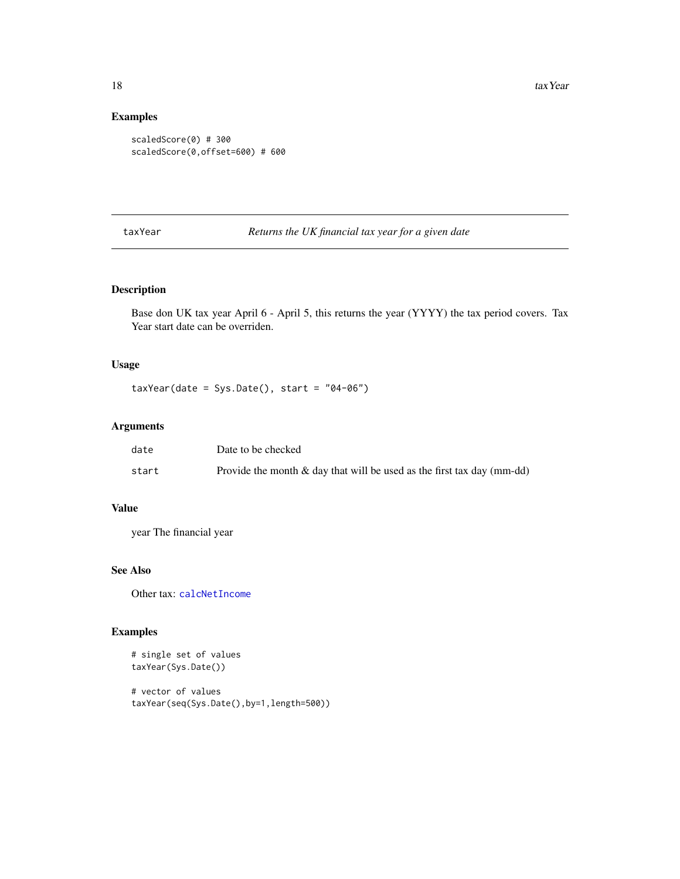#### Examples

```
scaledScore(0) # 300
scaledScore(0,offset=600) # 600
```
<span id="page-17-1"></span>taxYear *Returns the UK financial tax year for a given date*

#### Description

Base don UK tax year April 6 - April 5, this returns the year (YYYY) the tax period covers. Tax Year start date can be overriden.

#### Usage

 $taxYear(data = Sys.Date(), start = "04-06")$ 

#### Arguments

| date  | Date to be checked                                                        |
|-------|---------------------------------------------------------------------------|
| start | Provide the month $\&$ day that will be used as the first tax day (mm-dd) |

#### Value

year The financial year

#### See Also

Other tax: [calcNetIncome](#page-2-1)

#### Examples

# single set of values taxYear(Sys.Date())

# vector of values taxYear(seq(Sys.Date(),by=1,length=500))

<span id="page-17-0"></span>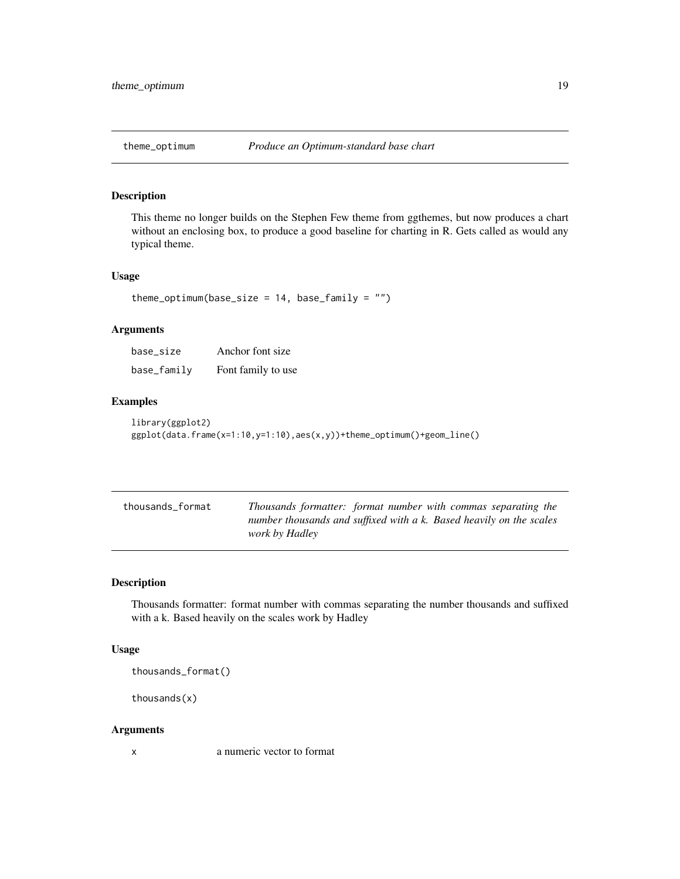<span id="page-18-0"></span>

This theme no longer builds on the Stephen Few theme from ggthemes, but now produces a chart without an enclosing box, to produce a good baseline for charting in R. Gets called as would any typical theme.

#### Usage

```
theme_optimum(base_size = 14, base_family = "")
```
#### Arguments

| base size   | Anchor font size   |
|-------------|--------------------|
| base_family | Font family to use |

#### Examples

```
library(ggplot2)
ggplot(data.frame(x=1:10,y=1:10),aes(x,y))+theme_optimum()+geom_line()
```

| thousands_format | Thousands formatter: format number with commas separating the       |
|------------------|---------------------------------------------------------------------|
|                  | number thousands and suffixed with a k. Based heavily on the scales |
|                  | <i>work by Hadley</i>                                               |

#### Description

Thousands formatter: format number with commas separating the number thousands and suffixed with a k. Based heavily on the scales work by Hadley

#### Usage

thousands\_format()

thousands(x)

#### Arguments

x a numeric vector to format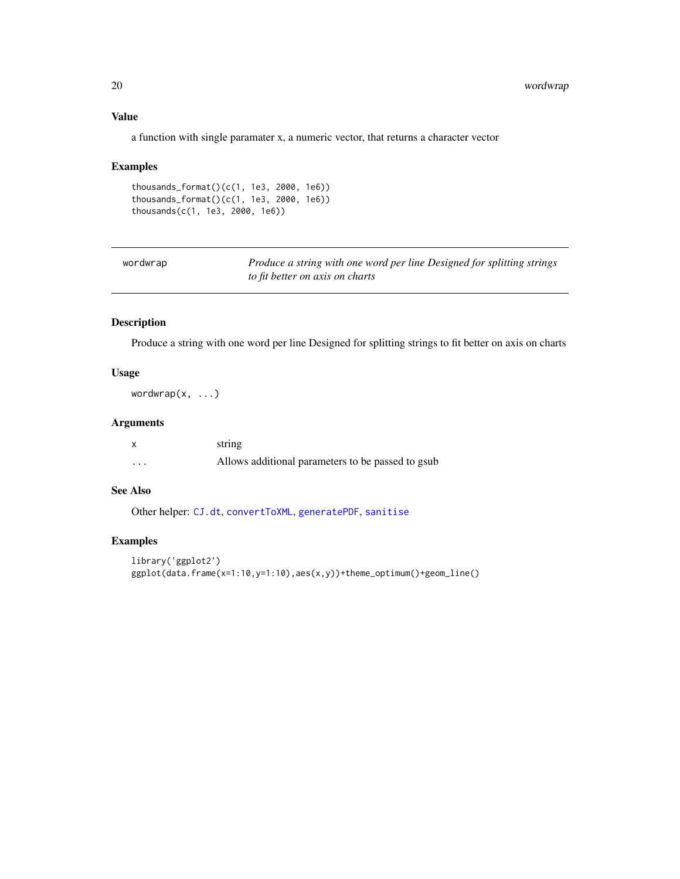#### <span id="page-19-0"></span>Value

a function with single paramater x, a numeric vector, that returns a character vector

#### Examples

```
thousands_format()(c(1, 1e3, 2000, 1e6))
thousands_format()(c(1, 1e3, 2000, 1e6))
thousands(c(1, 1e3, 2000, 1e6))
```
<span id="page-19-1"></span>

| wordwrap | Produce a string with one word per line Designed for splitting strings |
|----------|------------------------------------------------------------------------|
|          | to fit better on axis on charts                                        |

#### Description

Produce a string with one word per line Designed for splitting strings to fit better on axis on charts

#### Usage

wordwrap $(x, \ldots)$ 

#### Arguments

|                         | string                                            |
|-------------------------|---------------------------------------------------|
| $\cdot$ $\cdot$ $\cdot$ | Allows additional parameters to be passed to gsub |

#### See Also

Other helper: [CJ.dt](#page-3-1), [convertToXML](#page-4-1), [generatePDF](#page-4-2), [sanitise](#page-16-1)

#### Examples

```
library('ggplot2')
ggplot(data.frame(x=1:10,y=1:10),aes(x,y))+theme_optimum()+geom_line()
```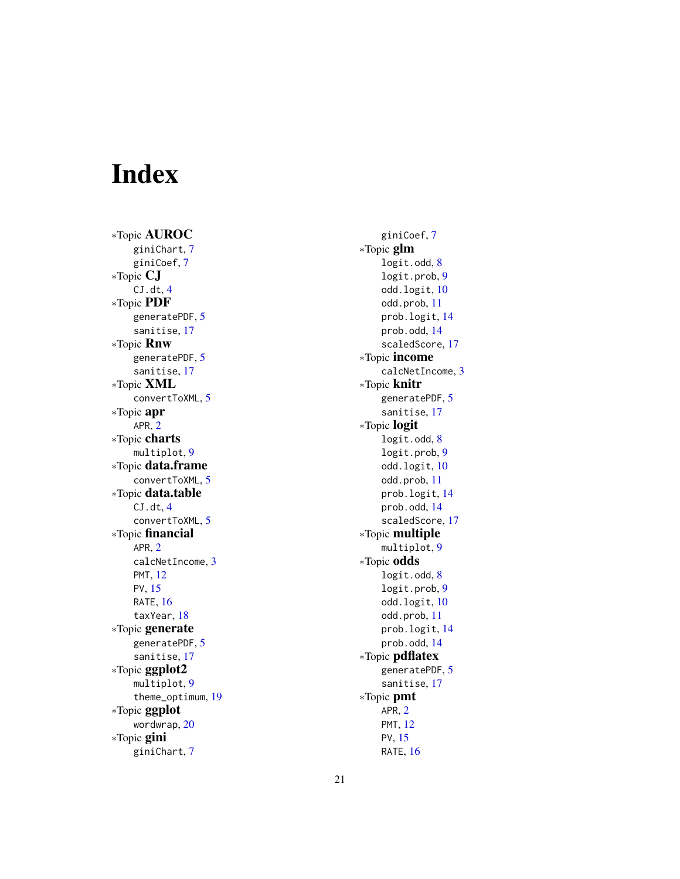# <span id="page-20-0"></span>Index

∗Topic AUROC giniChart , [7](#page-6-0) giniCoef , [7](#page-6-0) ∗Topic CJ CJ.dt, [4](#page-3-0) ∗Topic PDF generatePDF , [5](#page-4-0) sanitise , [17](#page-16-0) ∗Topic Rnw generatePDF , [5](#page-4-0) sanitise , [17](#page-16-0) ∗Topic XML convertToXML , [5](#page-4-0) ∗Topic apr APR , [2](#page-1-0) ∗Topic charts multiplot , [9](#page-8-0) ∗Topic data.frame convertToXML , [5](#page-4-0) ∗Topic data.table CJ.dt, [4](#page-3-0) convertToXML , [5](#page-4-0) ∗Topic financial APR , [2](#page-1-0) calcNetIncome , [3](#page-2-0) PMT , [12](#page-11-0) PV , [15](#page-14-0) RATE, [16](#page-15-0) taxYear , [18](#page-17-0) ∗Topic generate generatePDF , [5](#page-4-0) sanitise , [17](#page-16-0) ∗Topic ggplot2 multiplot , [9](#page-8-0) theme\_optimum , [19](#page-18-0) ∗Topic ggplot wordwrap , [20](#page-19-0) ∗Topic gini giniChart , [7](#page-6-0)

giniCoef , [7](#page-6-0) ∗Topic glm logit.odd, [8](#page-7-0) logit.prob , [9](#page-8-0) odd.logit,[10](#page-9-0) odd.prob , [11](#page-10-0) prob.logit , [14](#page-13-0) prob.odd , [14](#page-13-0) scaledScore , [17](#page-16-0) ∗Topic income calcNetIncome , [3](#page-2-0) ∗Topic knitr generatePDF, [5](#page-4-0) sanitise , [17](#page-16-0) ∗Topic logit logit.odd, [8](#page-7-0) logit.prob , [9](#page-8-0) odd.logit , [10](#page-9-0) odd.prob , [11](#page-10-0) prob.logit , [14](#page-13-0) prob.odd , [14](#page-13-0) scaledScore , [17](#page-16-0) ∗Topic multiple multiplot , [9](#page-8-0) ∗Topic odds logit.odd , [8](#page-7-0) logit.prob , [9](#page-8-0) odd.logit , [10](#page-9-0) odd.prob , [11](#page-10-0) prob.logit , [14](#page-13-0) prob.odd , [14](#page-13-0) ∗Topic pdflatex generatePDF, <mark>[5](#page-4-0)</mark> sanitise , [17](#page-16-0) ∗Topic pmt APR,  $2$ PMT , [12](#page-11-0) PV , [15](#page-14-0) RATE, [16](#page-15-0)